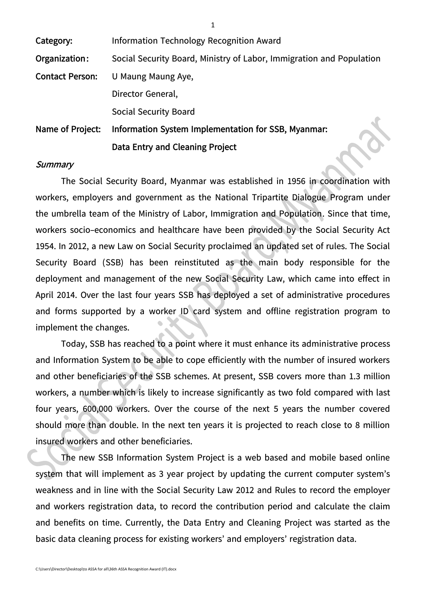| Category:              | Information Technology Recognition Award                             |  |  |
|------------------------|----------------------------------------------------------------------|--|--|
| Organization:          | Social Security Board, Ministry of Labor, Immigration and Population |  |  |
| <b>Contact Person:</b> | U Maung Maung Aye,                                                   |  |  |
|                        | Director General,                                                    |  |  |
|                        | <b>Social Security Board</b>                                         |  |  |
| Name of Project:       | Information System Implementation for SSB, Myanmar:                  |  |  |
|                        | Data Entry and Cleaning Project                                      |  |  |

#### **Summary**

The Social Security Board, Myanmar was established in 1956 in coordination with workers, employers and government as the National Tripartite Dialogue Program under the umbrella team of the Ministry of Labor, Immigration and Population. Since that time, workers socio-economics and healthcare have been provided by the Social Security Act 1954. In 2012, a new Law on Social Security proclaimed an updated set of rules. The Social Security Board (SSB) has been reinstituted as the main body responsible for the deployment and management of the new Social Security Law, which came into effect in April 2014. Over the last four years SSB has deployed a set of administrative procedures and forms supported by a worker ID card system and offline registration program to implement the changes.

Today, SSB has reached to a point where it must enhance its administrative process and Information System to be able to cope efficiently with the number of insured workers and other beneficiaries of the SSB schemes. At present, SSB covers more than 1.3 million workers, a number which is likely to increase significantly as two fold compared with last four years, 600,000 workers. Over the course of the next 5 years the number covered should more than double. In the next ten years it is projected to reach close to 8 million insured workers and other beneficiaries.

The new SSB Information System Project is a web based and mobile based online system that will implement as 3 year project by updating the current computer system's weakness and in line with the Social Security Law 2012 and Rules to record the employer and workers registration data, to record the contribution period and calculate the claim and benefits on time. Currently, the Data Entry and Cleaning Project was started as the basic data cleaning process for existing workers' and employers' registration data.

1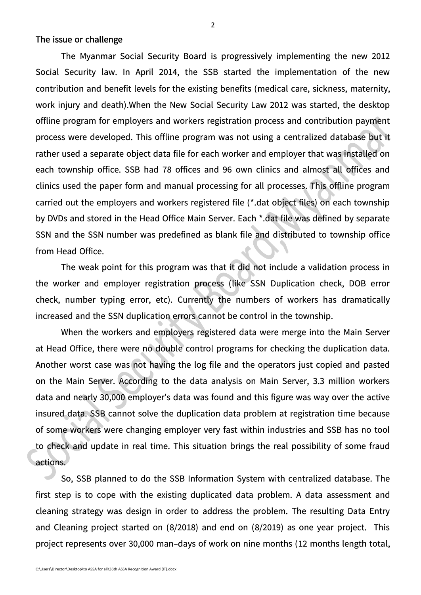**The issue or challenge**

The Myanmar Social Security Board is progressively implementing the new 2012 Social Security law. In April 2014, the SSB started the implementation of the new contribution and benefit levels for the existing benefits (medical care, sickness, maternity, work injury and death).When the New Social Security Law 2012 was started, the desktop offline program for employers and workers registration process and contribution payment process were developed. This offline program was not using a centralized database but it rather used a separate object data file for each worker and employer that was installed on each township office. SSB had 78 offices and 96 own clinics and almost all offices and clinics used the paper form and manual processing for all processes. This offline program carried out the employers and workers registered file (\*.dat object files) on each township by DVDs and stored in the Head Office Main Server. Each \*.dat file was defined by separate SSN and the SSN number was predefined as blank file and distributed to township office from Head Office.

The weak point for this program was that it did not include a validation process in the worker and employer registration process (like SSN Duplication check, DOB error check, number typing error, etc). Currently the numbers of workers has dramatically increased and the SSN duplication errors cannot be control in the township.

When the workers and employers registered data were merge into the Main Server at Head Office, there were no double control programs for checking the duplication data. Another worst case was not having the log file and the operators just copied and pasted on the Main Server. According to the data analysis on Main Server, 3.3 million workers data and nearly 30,000 employer's data was found and this figure was way over the active insured data. SSB cannot solve the duplication data problem at registration time because of some workers were changing employer very fast within industries and SSB has no tool to check and update in real time. This situation brings the real possibility of some fraud actions.

So, SSB planned to do the SSB Information System with centralized database. The first step is to cope with the existing duplicated data problem. A data assessment and cleaning strategy was design in order to address the problem. The resulting Data Entry and Cleaning project started on (8/2018) and end on (8/2019) as one year project. This project represents over 30,000 man-days of work on nine months (12 months length total,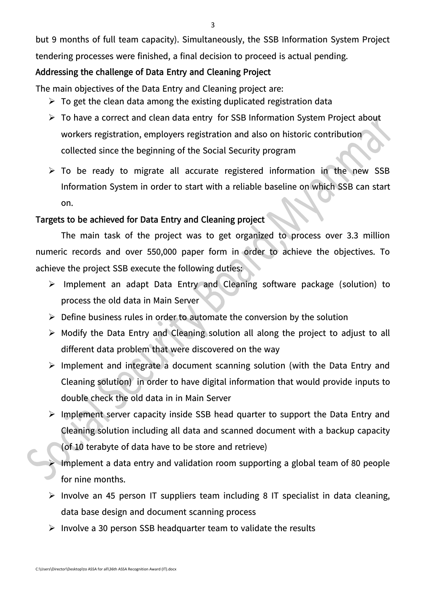3

but 9 months of full team capacity). Simultaneously, the SSB Information System Project tendering processes were finished, a final decision to proceed is actual pending.

# **Addressing the challenge of Data Entry and Cleaning Project**

The main objectives of the Data Entry and Cleaning project are:

- $\triangleright$  To get the clean data among the existing duplicated registration data
- $\triangleright$  To have a correct and clean data entry for SSB Information System Project about workers registration, employers registration and also on historic contribution collected since the beginning of the Social Security program
- $\triangleright$  To be ready to migrate all accurate registered information in the new SSB Information System in order to start with a reliable baseline on which SSB can start on.

# **Targets to be achieved for Data Entry and Cleaning project**

The main task of the project was to get organized to process over 3.3 million numeric records and over 550,000 paper form in order to achieve the objectives. To achieve the project SSB execute the following duties:

- $\triangleright$  Implement an adapt Data Entry and Cleaning software package (solution) to process the old data in Main Server
- $\triangleright$  Define business rules in order to automate the conversion by the solution
- $\triangleright$  Modify the Data Entry and Cleaning solution all along the project to adjust to all different data problem that were discovered on the way
- $\triangleright$  Implement and integrate a document scanning solution (with the Data Entry and Cleaning solution) in order to have digital information that would provide inputs to double check the old data in in Main Server
- $\triangleright$  Implement server capacity inside SSB head quarter to support the Data Entry and Cleaning solution including all data and scanned document with a backup capacity
	- (of 10 terabyte of data have to be store and retrieve)
- Implement a data entry and validation room supporting a global team of 80 people for nine months.
- $\triangleright$  Involve an 45 person IT suppliers team including 8 IT specialist in data cleaning, data base design and document scanning process
- $\triangleright$  Involve a 30 person SSB headquarter team to validate the results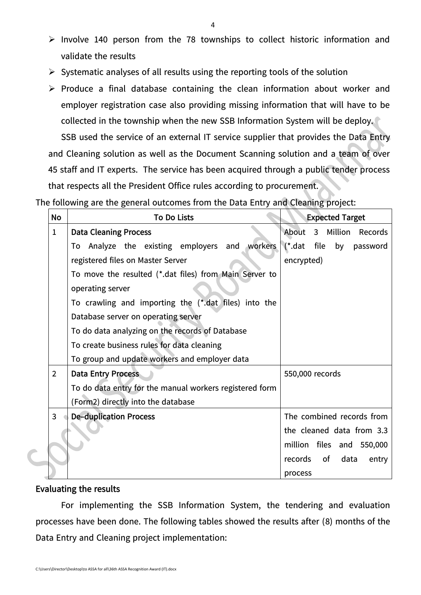- $\triangleright$  Involve 140 person from the 78 townships to collect historic information and validate the results
- $\triangleright$  Systematic analyses of all results using the reporting tools of the solution
- $\triangleright$  Produce a final database containing the clean information about worker and employer registration case also providing missing information that will have to be collected in the township when the new SSB Information System will be deploy.

SSB used the service of an external IT service supplier that provides the Data Entry and Cleaning solution as well as the Document Scanning solution and a team of over 45 staff and IT experts. The service has been acquired through a public tender process that respects all the President Office rules according to procurement.

The following are the general outcomes from the Data Entry and Cleaning project:

| <b>No</b>      | <b>To Do Lists</b>                                      | <b>Expected Target</b>      |  |
|----------------|---------------------------------------------------------|-----------------------------|--|
| $\mathbf{1}$   | <b>Data Cleaning Process</b>                            | About 3 Million<br>Records  |  |
|                | To Analyze the existing employers and workers           | (*.dat file by password     |  |
|                | registered files on Master Server                       | encrypted)                  |  |
|                | To move the resulted (*.dat files) from Main Server to  |                             |  |
|                | operating server                                        |                             |  |
|                | To crawling and importing the (*.dat files) into the    |                             |  |
|                | Database server on operating server                     |                             |  |
|                | To do data analyzing on the records of Database         |                             |  |
|                | To create business rules for data cleaning              |                             |  |
|                | To group and update workers and employer data           |                             |  |
| $\overline{2}$ | <b>Data Entry Process</b>                               | 550,000 records             |  |
|                | To do data entry for the manual workers registered form |                             |  |
|                | (Form2) directly into the database                      |                             |  |
| $\mathbf{3}$   | <b>De-duplication Process</b>                           | The combined records from   |  |
|                |                                                         | the cleaned data from 3.3   |  |
|                |                                                         | million files and 550,000   |  |
|                |                                                         | records of<br>data<br>entry |  |
|                |                                                         | process                     |  |

#### **Evaluating the results**

For implementing the SSB Information System, the tendering and evaluation processes have been done. The following tables showed the results after (8) months of the Data Entry and Cleaning project implementation: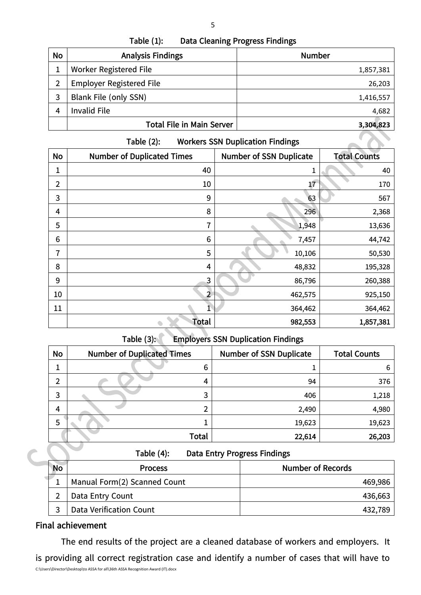| Table $(1)$ : | <b>Data Cleaning Progress Findings</b> |
|---------------|----------------------------------------|
|---------------|----------------------------------------|

| No | <b>Analysis Findings</b>         | <b>Number</b> |
|----|----------------------------------|---------------|
|    | <b>Worker Registered File</b>    | 1,857,381     |
| 2  | <b>Employer Registered File</b>  | 26,203        |
| 3  | Blank File (only SSN)            | 1,416,557     |
|    | <b>Invalid File</b>              | 4,682         |
|    | <b>Total File in Main Server</b> | 3,304,823     |

| Table $(2)$ : | <b>Workers SSN Duplication Findings</b> |
|---------------|-----------------------------------------|
|---------------|-----------------------------------------|

| No             | <b>Number of Duplicated Times</b> | <b>Number of SSN Duplicate</b> | <b>Total Counts</b> |
|----------------|-----------------------------------|--------------------------------|---------------------|
| 1              | 40                                | 1                              | 40                  |
| $\overline{2}$ | 10                                | $17\,$                         | 170                 |
| 3              | 9                                 | 63                             | 567                 |
| 4              | 8                                 | 296                            | 2,368               |
| 5              | 7                                 | 1,948                          | 13,636              |
| 6              | 6                                 | 7,457                          | 44,742              |
| 7              | 5                                 | 10,106                         | 50,530              |
| 8              | 4                                 | 48,832                         | 195,328             |
| 9              | 3                                 | 86,796                         | 260,388             |
| $10\,$         | $\overline{2}$                    | 462,575                        | 925,150             |
| 11             |                                   | 364,462                        | 364,462             |
|                | <b>Total</b>                      | 982,553                        | 1,857,381           |

# **Table (3): Employers SSN Duplication Findings**

| <b>No</b> | <b>Number of Duplicated Times</b> | <b>Number of SSN Duplicate</b> | <b>Total Counts</b> |
|-----------|-----------------------------------|--------------------------------|---------------------|
|           | 6                                 |                                | 6                   |
| 2         | 4                                 | 94                             | 376                 |
| 3         | 3                                 | 406                            | 1,218               |
| 4         |                                   | 2,490                          | 4,980               |
| 5         |                                   | 19,623                         | 19,623              |
|           | <b>Total</b>                      | 22,614                         | 26,203              |

| Table (4): | <b>Data Entry Progress Findings</b> |  |  |
|------------|-------------------------------------|--|--|
|------------|-------------------------------------|--|--|

| <b>No</b> | <b>Process</b>                 | <b>Number of Records</b> |
|-----------|--------------------------------|--------------------------|
|           | Manual Form(2) Scanned Count   | 469,986                  |
|           | Data Entry Count               | 436,663                  |
|           | <b>Data Verification Count</b> | 432,789                  |

## **Final achievement**

C:\Users\Director\Desktop\to ASSA for all\36th ASSA Recognition Award (IT).docx The end results of the project are a cleaned database of workers and employers. It is providing all correct registration case and identify a number of cases that will have to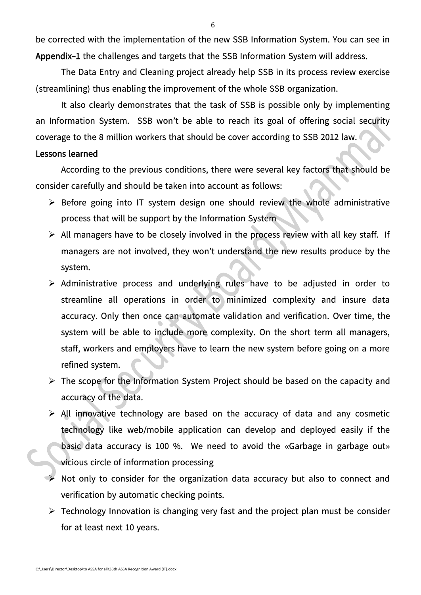be corrected with the implementation of the new SSB Information System. You can see in **Appendix-1** the challenges and targets that the SSB Information System will address.

The Data Entry and Cleaning project already help SSB in its process review exercise (streamlining) thus enabling the improvement of the whole SSB organization.

It also clearly demonstrates that the task of SSB is possible only by implementing an Information System. SSB won't be able to reach its goal of offering social security coverage to the 8 million workers that should be cover according to SSB 2012 law.

#### **Lessons learned**

According to the previous conditions, there were several key factors that should be consider carefully and should be taken into account as follows:

- $\triangleright$  Before going into IT system design one should review the whole administrative process that will be support by the Information System
- $\triangleright$  All managers have to be closely involved in the process review with all key staff. If managers are not involved, they won't understand the new results produce by the system.
- $\triangleright$  Administrative process and underlying rules have to be adjusted in order to streamline all operations in order to minimized complexity and insure data accuracy. Only then once can automate validation and verification. Over time, the system will be able to include more complexity. On the short term all managers, staff, workers and employers have to learn the new system before going on a more refined system.
- $\triangleright$  The scope for the Information System Project should be based on the capacity and accuracy of the data.
- $\triangleright$  All innovative technology are based on the accuracy of data and any cosmetic technology like web/mobile application can develop and deployed easily if the basic data accuracy is 100 %. We need to avoid the «Garbage in garbage out» vicious circle of information processing
- Not only to consider for the organization data accuracy but also to connect and verification by automatic checking points.
- $\triangleright$  Technology Innovation is changing very fast and the project plan must be consider for at least next 10 years.

6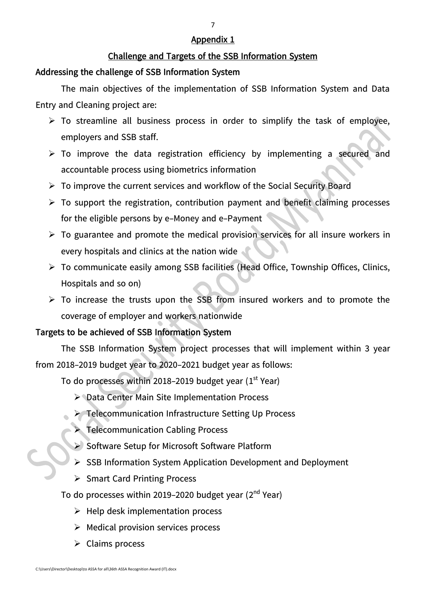### **Appendix 1**

## **Challenge and Targets of the SSB Information System**

## **Addressing the challenge of SSB Information System**

The main objectives of the implementation of SSB Information System and Data Entry and Cleaning project are:

- $\triangleright$  To streamline all business process in order to simplify the task of employee, employers and SSB staff.
- $\triangleright$  To improve the data registration efficiency by implementing a secured and accountable process using biometrics information
- $\triangleright$  To improve the current services and workflow of the Social Security Board
- $\triangleright$  To support the registration, contribution payment and benefit claiming processes for the eligible persons by e-Money and e-Payment
- $\triangleright$  To guarantee and promote the medical provision services for all insure workers in every hospitals and clinics at the nation wide
- To communicate easily among SSB facilities (Head Office, Township Offices, Clinics, Hospitals and so on)
- $\triangleright$  To increase the trusts upon the SSB from insured workers and to promote the coverage of employer and workers nationwide

# **Targets to be achieved of SSB Information System**

The SSB Information System project processes that will implement within 3 year from 2018-2019 budget year to 2020-2021 budget year as follows:

To do processes within 2018-2019 budget year  $(1<sup>st</sup> Year)$ 

- Data Center Main Site Implementation Process
- > Telecommunication Infrastructure Setting Up Process
- > Telecommunication Cabling Process
- Software Setup for Microsoft Software Platform
- SSB Information System Application Development and Deployment
- $\triangleright$  Smart Card Printing Process
- To do processes within 2019–2020 budget year (2<sup>nd</sup> Year)
	- $\triangleright$  Help desk implementation process
	- $\triangleright$  Medical provision services process
	- $\triangleright$  Claims process